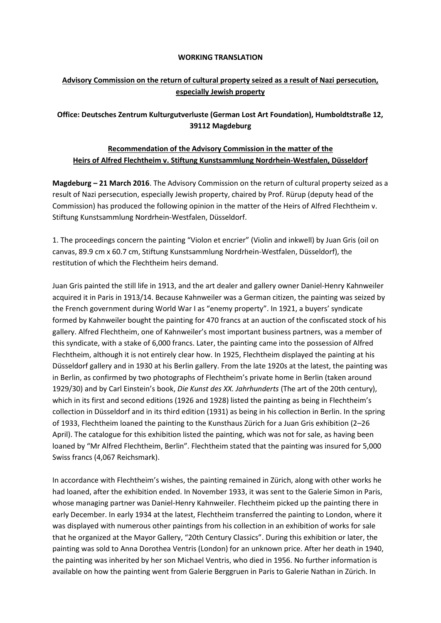## **WORKING TRANSLATION**

## **Advisory Commission on the return of cultural property seized as a result of Nazi persecution, especially Jewish property**

## **Office: Deutsches Zentrum Kulturgutverluste (German Lost Art Foundation), Humboldtstraße 12, 39112 Magdeburg**

## **Recommendation of the Advisory Commission in the matter of the Heirs of Alfred Flechtheim v. Stiftung Kunstsammlung Nordrhein-Westfalen, Düsseldorf**

**Magdeburg – 21 March 2016**. The Advisory Commission on the return of cultural property seized as a result of Nazi persecution, especially Jewish property, chaired by Prof. Rürup (deputy head of the Commission) has produced the following opinion in the matter of the Heirs of Alfred Flechtheim v. Stiftung Kunstsammlung Nordrhein-Westfalen, Düsseldorf.

1. The proceedings concern the painting "Violon et encrier" (Violin and inkwell) by Juan Gris (oil on canvas, 89.9 cm x 60.7 cm, Stiftung Kunstsammlung Nordrhein-Westfalen, Düsseldorf), the restitution of which the Flechtheim heirs demand.

Juan Gris painted the still life in 1913, and the art dealer and gallery owner Daniel-Henry Kahnweiler acquired it in Paris in 1913/14. Because Kahnweiler was a German citizen, the painting was seized by the French government during World War I as "enemy property". In 1921, a buyers' syndicate formed by Kahnweiler bought the painting for 470 francs at an auction of the confiscated stock of his gallery. Alfred Flechtheim, one of Kahnweiler's most important business partners, was a member of this syndicate, with a stake of 6,000 francs. Later, the painting came into the possession of Alfred Flechtheim, although it is not entirely clear how. In 1925, Flechtheim displayed the painting at his Düsseldorf gallery and in 1930 at his Berlin gallery. From the late 1920s at the latest, the painting was in Berlin, as confirmed by two photographs of Flechtheim's private home in Berlin (taken around 1929/30) and by Carl Einstein's book, *Die Kunst des XX. Jahrhunderts* (The art of the 20th century), which in its first and second editions (1926 and 1928) listed the painting as being in Flechtheim's collection in Düsseldorf and in its third edition (1931) as being in his collection in Berlin. In the spring of 1933, Flechtheim loaned the painting to the Kunsthaus Zürich for a Juan Gris exhibition (2–26 April). The catalogue for this exhibition listed the painting, which was not for sale, as having been loaned by "Mr Alfred Flechtheim, Berlin". Flechtheim stated that the painting was insured for 5,000 Swiss francs (4,067 Reichsmark).

In accordance with Flechtheim's wishes, the painting remained in Zürich, along with other works he had loaned, after the exhibition ended. In November 1933, it was sent to the Galerie Simon in Paris, whose managing partner was Daniel-Henry Kahnweiler. Flechtheim picked up the painting there in early December. In early 1934 at the latest, Flechtheim transferred the painting to London, where it was displayed with numerous other paintings from his collection in an exhibition of works for sale that he organized at the Mayor Gallery, "20th Century Classics". During this exhibition or later, the painting was sold to Anna Dorothea Ventris (London) for an unknown price. After her death in 1940, the painting was inherited by her son Michael Ventris, who died in 1956. No further information is available on how the painting went from Galerie Berggruen in Paris to Galerie Nathan in Zürich. In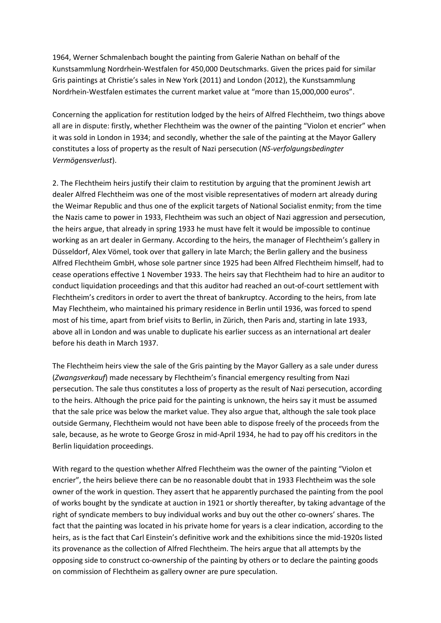1964, Werner Schmalenbach bought the painting from Galerie Nathan on behalf of the Kunstsammlung Nordrhein-Westfalen for 450,000 Deutschmarks. Given the prices paid for similar Gris paintings at Christie's sales in New York (2011) and London (2012), the Kunstsammlung Nordrhein-Westfalen estimates the current market value at "more than 15,000,000 euros".

Concerning the application for restitution lodged by the heirs of Alfred Flechtheim, two things above all are in dispute: firstly, whether Flechtheim was the owner of the painting "Violon et encrier" when it was sold in London in 1934; and secondly, whether the sale of the painting at the Mayor Gallery constitutes a loss of property as the result of Nazi persecution (*NS-verfolgungsbedingter Vermögensverlust*).

2. The Flechtheim heirs justify their claim to restitution by arguing that the prominent Jewish art dealer Alfred Flechtheim was one of the most visible representatives of modern art already during the Weimar Republic and thus one of the explicit targets of National Socialist enmity; from the time the Nazis came to power in 1933, Flechtheim was such an object of Nazi aggression and persecution, the heirs argue, that already in spring 1933 he must have felt it would be impossible to continue working as an art dealer in Germany. According to the heirs, the manager of Flechtheim's gallery in Düsseldorf, Alex Vömel, took over that gallery in late March; the Berlin gallery and the business Alfred Flechtheim GmbH, whose sole partner since 1925 had been Alfred Flechtheim himself, had to cease operations effective 1 November 1933. The heirs say that Flechtheim had to hire an auditor to conduct liquidation proceedings and that this auditor had reached an out-of-court settlement with Flechtheim's creditors in order to avert the threat of bankruptcy. According to the heirs, from late May Flechtheim, who maintained his primary residence in Berlin until 1936, was forced to spend most of his time, apart from brief visits to Berlin, in Zürich, then Paris and, starting in late 1933, above all in London and was unable to duplicate his earlier success as an international art dealer before his death in March 1937.

The Flechtheim heirs view the sale of the Gris painting by the Mayor Gallery as a sale under duress (*Zwangsverkauf*) made necessary by Flechtheim's financial emergency resulting from Nazi persecution. The sale thus constitutes a loss of property as the result of Nazi persecution, according to the heirs. Although the price paid for the painting is unknown, the heirs say it must be assumed that the sale price was below the market value. They also argue that, although the sale took place outside Germany, Flechtheim would not have been able to dispose freely of the proceeds from the sale, because, as he wrote to George Grosz in mid-April 1934, he had to pay off his creditors in the Berlin liquidation proceedings.

With regard to the question whether Alfred Flechtheim was the owner of the painting "Violon et encrier", the heirs believe there can be no reasonable doubt that in 1933 Flechtheim was the sole owner of the work in question. They assert that he apparently purchased the painting from the pool of works bought by the syndicate at auction in 1921 or shortly thereafter, by taking advantage of the right of syndicate members to buy individual works and buy out the other co-owners' shares. The fact that the painting was located in his private home for years is a clear indication, according to the heirs, as is the fact that Carl Einstein's definitive work and the exhibitions since the mid-1920s listed its provenance as the collection of Alfred Flechtheim. The heirs argue that all attempts by the opposing side to construct co-ownership of the painting by others or to declare the painting goods on commission of Flechtheim as gallery owner are pure speculation.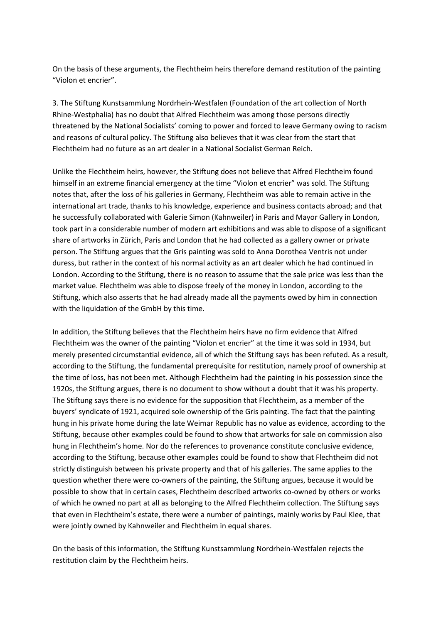On the basis of these arguments, the Flechtheim heirs therefore demand restitution of the painting "Violon et encrier".

3. The Stiftung Kunstsammlung Nordrhein-Westfalen (Foundation of the art collection of North Rhine-Westphalia) has no doubt that Alfred Flechtheim was among those persons directly threatened by the National Socialists' coming to power and forced to leave Germany owing to racism and reasons of cultural policy. The Stiftung also believes that it was clear from the start that Flechtheim had no future as an art dealer in a National Socialist German Reich.

Unlike the Flechtheim heirs, however, the Stiftung does not believe that Alfred Flechtheim found himself in an extreme financial emergency at the time "Violon et encrier" was sold. The Stiftung notes that, after the loss of his galleries in Germany, Flechtheim was able to remain active in the international art trade, thanks to his knowledge, experience and business contacts abroad; and that he successfully collaborated with Galerie Simon (Kahnweiler) in Paris and Mayor Gallery in London, took part in a considerable number of modern art exhibitions and was able to dispose of a significant share of artworks in Zürich, Paris and London that he had collected as a gallery owner or private person. The Stiftung argues that the Gris painting was sold to Anna Dorothea Ventris not under duress, but rather in the context of his normal activity as an art dealer which he had continued in London. According to the Stiftung, there is no reason to assume that the sale price was less than the market value. Flechtheim was able to dispose freely of the money in London, according to the Stiftung, which also asserts that he had already made all the payments owed by him in connection with the liquidation of the GmbH by this time.

In addition, the Stiftung believes that the Flechtheim heirs have no firm evidence that Alfred Flechtheim was the owner of the painting "Violon et encrier" at the time it was sold in 1934, but merely presented circumstantial evidence, all of which the Stiftung says has been refuted. As a result, according to the Stiftung, the fundamental prerequisite for restitution, namely proof of ownership at the time of loss, has not been met. Although Flechtheim had the painting in his possession since the 1920s, the Stiftung argues, there is no document to show without a doubt that it was his property. The Stiftung says there is no evidence for the supposition that Flechtheim, as a member of the buyers' syndicate of 1921, acquired sole ownership of the Gris painting. The fact that the painting hung in his private home during the late Weimar Republic has no value as evidence, according to the Stiftung, because other examples could be found to show that artworks for sale on commission also hung in Flechtheim's home. Nor do the references to provenance constitute conclusive evidence, according to the Stiftung, because other examples could be found to show that Flechtheim did not strictly distinguish between his private property and that of his galleries. The same applies to the question whether there were co-owners of the painting, the Stiftung argues, because it would be possible to show that in certain cases, Flechtheim described artworks co-owned by others or works of which he owned no part at all as belonging to the Alfred Flechtheim collection. The Stiftung says that even in Flechtheim's estate, there were a number of paintings, mainly works by Paul Klee, that were jointly owned by Kahnweiler and Flechtheim in equal shares.

On the basis of this information, the Stiftung Kunstsammlung Nordrhein-Westfalen rejects the restitution claim by the Flechtheim heirs.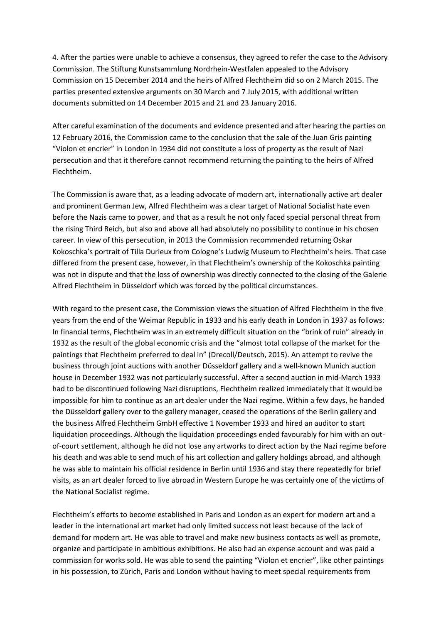4. After the parties were unable to achieve a consensus, they agreed to refer the case to the Advisory Commission. The Stiftung Kunstsammlung Nordrhein-Westfalen appealed to the Advisory Commission on 15 December 2014 and the heirs of Alfred Flechtheim did so on 2 March 2015. The parties presented extensive arguments on 30 March and 7 July 2015, with additional written documents submitted on 14 December 2015 and 21 and 23 January 2016.

After careful examination of the documents and evidence presented and after hearing the parties on 12 February 2016, the Commission came to the conclusion that the sale of the Juan Gris painting "Violon et encrier" in London in 1934 did not constitute a loss of property as the result of Nazi persecution and that it therefore cannot recommend returning the painting to the heirs of Alfred Flechtheim.

The Commission is aware that, as a leading advocate of modern art, internationally active art dealer and prominent German Jew, Alfred Flechtheim was a clear target of National Socialist hate even before the Nazis came to power, and that as a result he not only faced special personal threat from the rising Third Reich, but also and above all had absolutely no possibility to continue in his chosen career. In view of this persecution, in 2013 the Commission recommended returning Oskar Kokoschka's portrait of Tilla Durieux from Cologne's Ludwig Museum to Flechtheim's heirs. That case differed from the present case, however, in that Flechtheim's ownership of the Kokoschka painting was not in dispute and that the loss of ownership was directly connected to the closing of the Galerie Alfred Flechtheim in Düsseldorf which was forced by the political circumstances.

With regard to the present case, the Commission views the situation of Alfred Flechtheim in the five years from the end of the Weimar Republic in 1933 and his early death in London in 1937 as follows: In financial terms, Flechtheim was in an extremely difficult situation on the "brink of ruin" already in 1932 as the result of the global economic crisis and the "almost total collapse of the market for the paintings that Flechtheim preferred to deal in" (Drecoll/Deutsch, 2015). An attempt to revive the business through joint auctions with another Düsseldorf gallery and a well-known Munich auction house in December 1932 was not particularly successful. After a second auction in mid-March 1933 had to be discontinued following Nazi disruptions, Flechtheim realized immediately that it would be impossible for him to continue as an art dealer under the Nazi regime. Within a few days, he handed the Düsseldorf gallery over to the gallery manager, ceased the operations of the Berlin gallery and the business Alfred Flechtheim GmbH effective 1 November 1933 and hired an auditor to start liquidation proceedings. Although the liquidation proceedings ended favourably for him with an outof-court settlement, although he did not lose any artworks to direct action by the Nazi regime before his death and was able to send much of his art collection and gallery holdings abroad, and although he was able to maintain his official residence in Berlin until 1936 and stay there repeatedly for brief visits, as an art dealer forced to live abroad in Western Europe he was certainly one of the victims of the National Socialist regime.

Flechtheim's efforts to become established in Paris and London as an expert for modern art and a leader in the international art market had only limited success not least because of the lack of demand for modern art. He was able to travel and make new business contacts as well as promote, organize and participate in ambitious exhibitions. He also had an expense account and was paid a commission for works sold. He was able to send the painting "Violon et encrier", like other paintings in his possession, to Zürich, Paris and London without having to meet special requirements from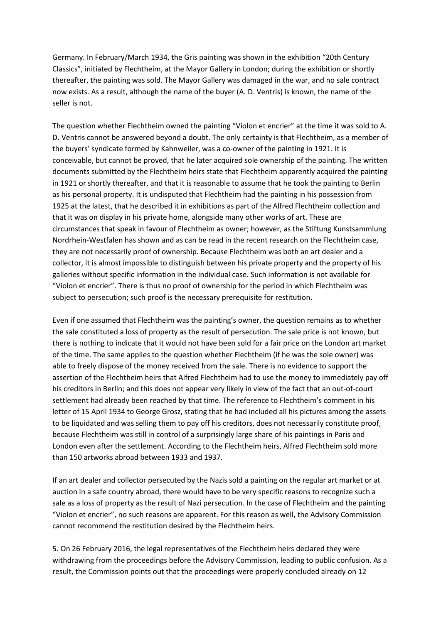Germany. In February/March 1934, the Gris painting was shown in the exhibition "20th Century Classics", initiated by Flechtheim, at the Mayor Gallery in London; during the exhibition or shortly thereafter, the painting was sold. The Mayor Gallery was damaged in the war, and no sale contract now exists. As a result, although the name of the buyer (A. D. Ventris) is known, the name of the seller is not.

The question whether Flechtheim owned the painting "Violon et encrier" at the time it was sold to A. D. Ventris cannot be answered beyond a doubt. The only certainty is that Flechtheim, as a member of the buyers' syndicate formed by Kahnweiler, was a co-owner of the painting in 1921. It is conceivable, but cannot be proved, that he later acquired sole ownership of the painting. The written documents submitted by the Flechtheim heirs state that Flechtheim apparently acquired the painting in 1921 or shortly thereafter, and that it is reasonable to assume that he took the painting to Berlin as his personal property. It is undisputed that Flechtheim had the painting in his possession from 1925 at the latest, that he described it in exhibitions as part of the Alfred Flechtheim collection and that it was on display in his private home, alongside many other works of art. These are circumstances that speak in favour of Flechtheim as owner; however, as the Stiftung Kunstsammlung Nordrhein-Westfalen has shown and as can be read in the recent research on the Flechtheim case, they are not necessarily proof of ownership. Because Flechtheim was both an art dealer and a collector, it is almost impossible to distinguish between his private property and the property of his galleries without specific information in the individual case. Such information is not available for "Violon et encrier". There is thus no proof of ownership for the period in which Flechtheim was subject to persecution; such proof is the necessary prerequisite for restitution.

Even if one assumed that Flechtheim was the painting's owner, the question remains as to whether the sale constituted a loss of property as the result of persecution. The sale price is not known, but there is nothing to indicate that it would not have been sold for a fair price on the London art market of the time. The same applies to the question whether Flechtheim (if he was the sole owner) was able to freely dispose of the money received from the sale. There is no evidence to support the assertion of the Flechtheim heirs that Alfred Flechtheim had to use the money to immediately pay off his creditors in Berlin; and this does not appear very likely in view of the fact that an out-of-court settlement had already been reached by that time. The reference to Flechtheim's comment in his letter of 15 April 1934 to George Grosz, stating that he had included all his pictures among the assets to be liquidated and was selling them to pay off his creditors, does not necessarily constitute proof, because Flechtheim was still in control of a surprisingly large share of his paintings in Paris and London even after the settlement. According to the Flechtheim heirs, Alfred Flechtheim sold more than 150 artworks abroad between 1933 and 1937.

If an art dealer and collector persecuted by the Nazis sold a painting on the regular art market or at auction in a safe country abroad, there would have to be very specific reasons to recognize such a sale as a loss of property as the result of Nazi persecution. In the case of Flechtheim and the painting "Violon et encrier", no such reasons are apparent. For this reason as well, the Advisory Commission cannot recommend the restitution desired by the Flechtheim heirs.

5. On 26 February 2016, the legal representatives of the Flechtheim heirs declared they were withdrawing from the proceedings before the Advisory Commission, leading to public confusion. As a result, the Commission points out that the proceedings were properly concluded already on 12